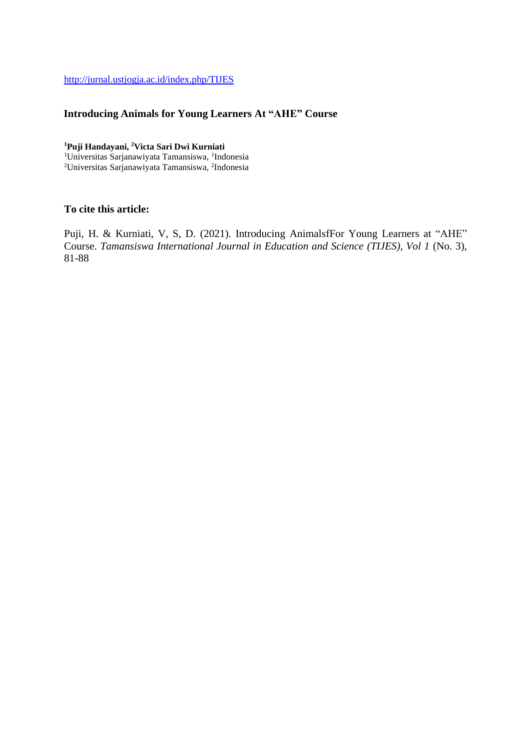<http://jurnal.ustjogja.ac.id/index.php/TIJES>

# **Introducing Animals for Young Learners At "AHE" Course**

## **<sup>1</sup>Puji Handayani, <sup>2</sup>Victa Sari Dwi Kurniati**

<sup>1</sup>Universitas Sarjanawiyata Tamansiswa, <sup>1</sup>Indonesia <sup>2</sup>Universitas Sarjanawiyata Tamansiswa, <sup>2</sup>Indonesia

# **To cite this article:**

Puji, H. & Kurniati, V, S, D. (2021). Introducing AnimalsfFor Young Learners at "AHE" Course. *Tamansiswa International Journal in Education and Science (TIJES), Vol 1* (No. 3), 81-88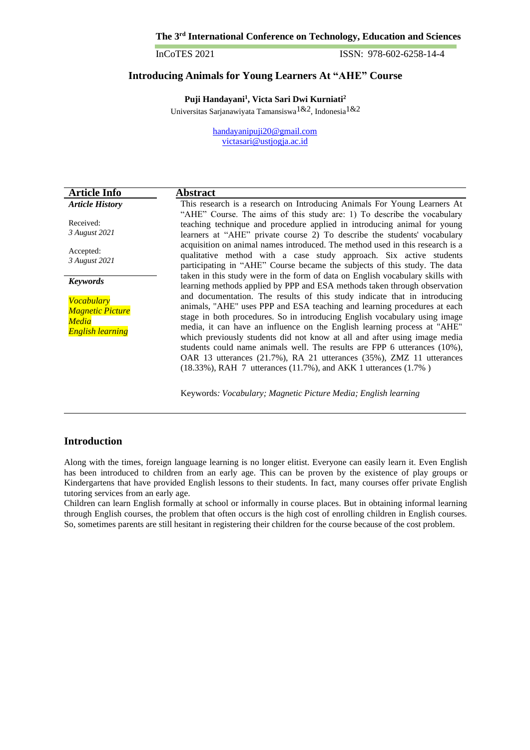ISSN: 978-602-6258-14-4

# **Introducing Animals for Young Learners At "AHE" Course**

**Puji Handayani<sup>1</sup> , Victa Sari Dwi Kurniati<sup>2</sup>** Universitas Sarjanawiyata Tamansiswa1&2, Indonesia1&2

> [handayanipuji20@gmail.com](mailto:handayanipuji20@gmail.com) [victasari@ustjogja.ac.id](mailto:victasari@ustjogja.ac.id)

| <b>Article Info</b>                                                       | Abstract                                                                                                                                                                                                                                                                                                                                                                                                                                                                                                                                                                                                                        |  |  |  |  |  |
|---------------------------------------------------------------------------|---------------------------------------------------------------------------------------------------------------------------------------------------------------------------------------------------------------------------------------------------------------------------------------------------------------------------------------------------------------------------------------------------------------------------------------------------------------------------------------------------------------------------------------------------------------------------------------------------------------------------------|--|--|--|--|--|
| <b>Article History</b>                                                    | This research is a research on Introducing Animals For Young Learners At                                                                                                                                                                                                                                                                                                                                                                                                                                                                                                                                                        |  |  |  |  |  |
| Received:<br>3 August 2021                                                | "AHE" Course. The aims of this study are: 1) To describe the vocabulary<br>teaching technique and procedure applied in introducing animal for young<br>learners at "AHE" private course 2) To describe the students' vocabulary                                                                                                                                                                                                                                                                                                                                                                                                 |  |  |  |  |  |
| Accepted:<br>3 August 2021                                                | acquisition on animal names introduced. The method used in this research is a<br>qualitative method with a case study approach. Six active students<br>participating in "AHE" Course became the subjects of this study. The data<br>taken in this study were in the form of data on English vocabulary skills with<br>learning methods applied by PPP and ESA methods taken through observation                                                                                                                                                                                                                                 |  |  |  |  |  |
| <b>Keywords</b>                                                           |                                                                                                                                                                                                                                                                                                                                                                                                                                                                                                                                                                                                                                 |  |  |  |  |  |
| Vocabulary<br><b>Magnetic Picture</b><br>Media<br><b>English learning</b> | and documentation. The results of this study indicate that in introducing<br>animals, "AHE" uses PPP and ESA teaching and learning procedures at each<br>stage in both procedures. So in introducing English vocabulary using image<br>media, it can have an influence on the English learning process at "AHE"<br>which previously students did not know at all and after using image media<br>students could name animals well. The results are FPP 6 utterances (10%),<br>OAR 13 utterances (21.7%), RA 21 utterances (35%), ZMZ 11 utterances<br>$(18.33\%)$ , RAH 7 utterances $(11.7\%)$ , and AKK 1 utterances $(1.7\%)$ |  |  |  |  |  |
|                                                                           | Keywords: Vocabulary; Magnetic Picture Media; English learning                                                                                                                                                                                                                                                                                                                                                                                                                                                                                                                                                                  |  |  |  |  |  |

# **Introduction**

Along with the times, foreign language learning is no longer elitist. Everyone can easily learn it. Even English has been introduced to children from an early age. This can be proven by the existence of play groups or Kindergartens that have provided English lessons to their students. In fact, many courses offer private English tutoring services from an early age.

Children can learn English formally at school or informally in course places. But in obtaining informal learning through English courses, the problem that often occurs is the high cost of enrolling children in English courses. So, sometimes parents are still hesitant in registering their children for the course because of the cost problem.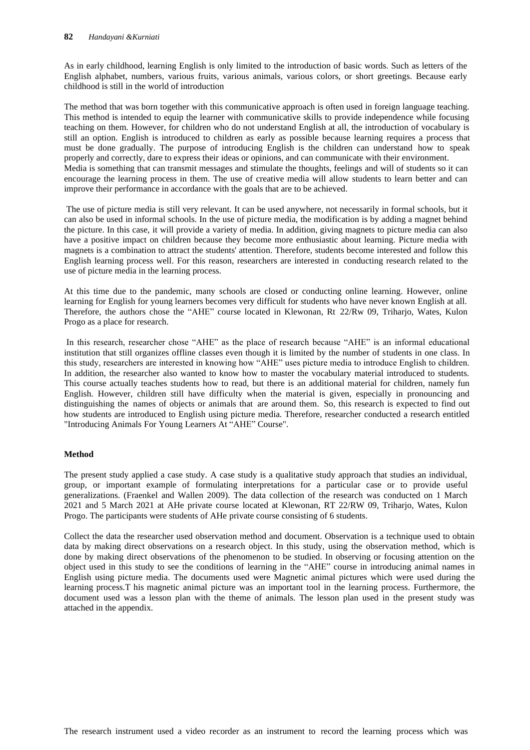As in early childhood, learning English is only limited to the introduction of basic words. Such as letters of the English alphabet, numbers, various fruits, various animals, various colors, or short greetings. Because early childhood is still in the world of introduction

The method that was born together with this communicative approach is often used in foreign language teaching. This method is intended to equip the learner with communicative skills to provide independence while focusing teaching on them. However, for children who do not understand English at all, the introduction of vocabulary is still an option. English is introduced to children as early as possible because learning requires a process that must be done gradually. The purpose of introducing English is the children can understand how to speak properly and correctly, dare to express their ideas or opinions, and can communicate with their environment. Media is something that can transmit messages and stimulate the thoughts, feelings and will of students so it can encourage the learning process in them. The use of creative media will allow students to learn better and can improve their performance in accordance with the goals that are to be achieved.

The use of picture media is still very relevant. It can be used anywhere, not necessarily in formal schools, but it can also be used in informal schools. In the use of picture media, the modification is by adding a magnet behind the picture. In this case, it will provide a variety of media. In addition, giving magnets to picture media can also have a positive impact on children because they become more enthusiastic about learning. Picture media with magnets is a combination to attract the students' attention. Therefore, students become interested and follow this English learning process well. For this reason, researchers are interested in conducting research related to the use of picture media in the learning process.

At this time due to the pandemic, many schools are closed or conducting online learning. However, online learning for English for young learners becomes very difficult for students who have never known English at all. Therefore, the authors chose the "AHE" course located in Klewonan, Rt 22/Rw 09, Triharjo, Wates, Kulon Progo as a place for research.

In this research, researcher chose "AHE" as the place of research because "AHE" is an informal educational institution that still organizes offline classes even though it is limited by the number of students in one class. In this study, researchers are interested in knowing how "AHE" uses picture media to introduce English to children. In addition, the researcher also wanted to know how to master the vocabulary material introduced to students. This course actually teaches students how to read, but there is an additional material for children, namely fun English. However, children still have difficulty when the material is given, especially in pronouncing and distinguishing the names of objects or animals that are around them. So, this research is expected to find out how students are introduced to English using picture media. Therefore, researcher conducted a research entitled "Introducing Animals For Young Learners At "AHE" Course".

### **Method**

The present study applied a case study. A case study is a qualitative study approach that studies an individual, group, or important example of formulating interpretations for a particular case or to provide useful generalizations. (Fraenkel and Wallen 2009). The data collection of the research was conducted on 1 March 2021 and 5 March 2021 at AHe private course located at Klewonan, RT 22/RW 09, Triharjo, Wates, Kulon Progo. The participants were students of AHe private course consisting of 6 students.

Collect the data the researcher used observation method and document. Observation is a technique used to obtain data by making direct observations on a research object. In this study, using the observation method, which is done by making direct observations of the phenomenon to be studied. In observing or focusing attention on the object used in this study to see the conditions of learning in the "AHE" course in introducing animal names in English using picture media. The documents used were Magnetic animal pictures which were used during the learning process.T his magnetic animal picture was an important tool in the learning process. Furthermore, the document used was a lesson plan with the theme of animals. The lesson plan used in the present study was attached in the appendix.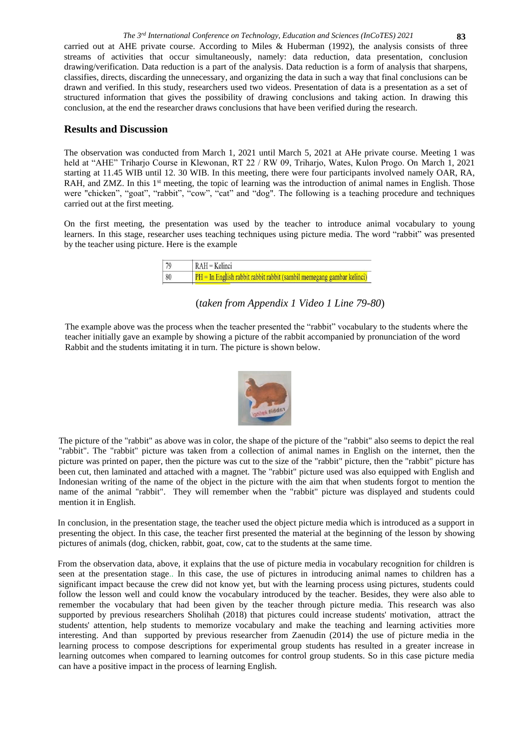# **Results and Discussion**

The observation was conducted from March 1, 2021 until March 5, 2021 at AHe private course. Meeting 1 was held at "AHE" Triharjo Course in Klewonan, RT 22 / RW 09, Triharjo, Wates, Kulon Progo. On March 1, 2021 starting at 11.45 WIB until 12. 30 WIB. In this meeting, there were four participants involved namely OAR, RA, RAH, and ZMZ. In this 1<sup>st</sup> meeting, the topic of learning was the introduction of animal names in English. Those were "chicken", "goat", "rabbit", "cow", "cat" and "dog". The following is a teaching procedure and techniques carried out at the first meeting.

On the first meeting, the presentation was used by the teacher to introduce animal vocabulary to young learners. In this stage, researcher uses teaching techniques using picture media. The word "rabbit" was presented by the teacher using picture. Here is the example

| 70 | $RAH = Kelinei$                                                         |
|----|-------------------------------------------------------------------------|
| 80 | $PH = In$ English rabbit rabbit rabbit (sambil memegang gambar kelinci) |

(*taken from Appendix 1 Video 1 Line 79-80*)

The example above was the process when the teacher presented the "rabbit" vocabulary to the students where the teacher initially gave an example by showing a picture of the rabbit accompanied by pronunciation of the word Rabbit and the students imitating it in turn. The picture is shown below.



The picture of the "rabbit" as above was in color, the shape of the picture of the "rabbit" also seems to depict the real "rabbit". The "rabbit" picture was taken from a collection of animal names in English on the internet, then the picture was printed on paper, then the picture was cut to the size of the "rabbit" picture, then the "rabbit" picture has been cut, then laminated and attached with a magnet. The "rabbit" picture used was also equipped with English and Indonesian writing of the name of the object in the picture with the aim that when students forgot to mention the name of the animal "rabbit". They will remember when the "rabbit" picture was displayed and students could mention it in English.

In conclusion, in the presentation stage, the teacher used the object picture media which is introduced as a support in presenting the object. In this case, the teacher first presented the material at the beginning of the lesson by showing pictures of animals (dog, chicken, rabbit, goat, cow, cat to the students at the same time.

From the observation data, above, it explains that the use of picture media in vocabulary recognition for children is seen at the presentation stage.. In this case, the use of pictures in introducing animal names to children has a significant impact because the crew did not know yet, but with the learning process using pictures, students could follow the lesson well and could know the vocabulary introduced by the teacher. Besides, they were also able to remember the vocabulary that had been given by the teacher through picture media. This research was also supported by previous researchers Sholihah (2018) that pictures could increase students' motivation, attract the students' attention, help students to memorize vocabulary and make the teaching and learning activities more interesting. And than supported by previous researcher from Zaenudin (2014) the use of picture media in the learning process to compose descriptions for experimental group students has resulted in a greater increase in learning outcomes when compared to learning outcomes for control group students. So in this case picture media can have a positive impact in the process of learning English.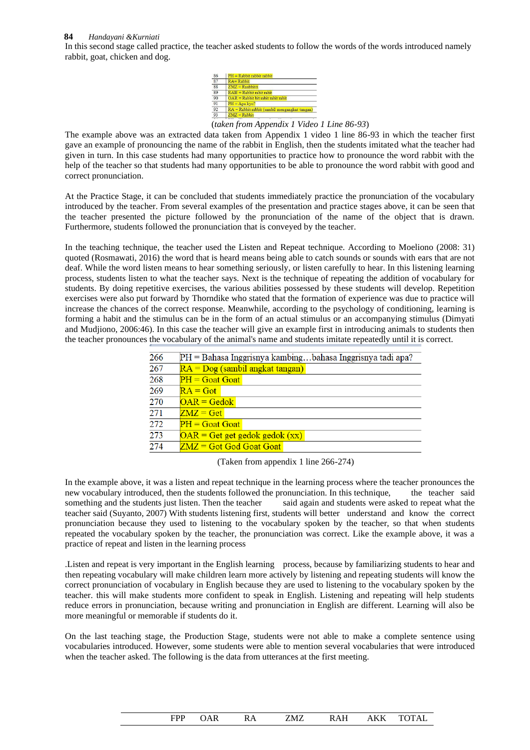#### **84** *Handayani &Kurniati*

In this second stage called practice, the teacher asked students to follow the words of the words introduced namely rabbit, goat, chicken and dog.



(*taken from Appendix 1 Video 1 Line 86-93*)

The example above was an extracted data taken from Appendix 1 video 1 line 86-93 in which the teacher first gave an example of pronouncing the name of the rabbit in English, then the students imitated what the teacher had given in turn. In this case students had many opportunities to practice how to pronounce the word rabbit with the help of the teacher so that students had many opportunities to be able to pronounce the word rabbit with good and correct pronunciation.

At the Practice Stage, it can be concluded that students immediately practice the pronunciation of the vocabulary introduced by the teacher. From several examples of the presentation and practice stages above, it can be seen that the teacher presented the picture followed by the pronunciation of the name of the object that is drawn. Furthermore, students followed the pronunciation that is conveyed by the teacher.

In the teaching technique, the teacher used the Listen and Repeat technique. According to Moeliono (2008: 31) quoted (Rosmawati, 2016) the word that is heard means being able to catch sounds or sounds with ears that are not deaf. While the word listen means to hear something seriously, or listen carefully to hear. In this listening learning process, students listen to what the teacher says. Next is the technique of repeating the addition of vocabulary for students. By doing repetitive exercises, the various abilities possessed by these students will develop. Repetition exercises were also put forward by Thorndike who stated that the formation of experience was due to practice will increase the chances of the correct response. Meanwhile, according to the psychology of conditioning, learning is forming a habit and the stimulus can be in the form of an actual stimulus or an accompanying stimulus (Dimyati and Mudjiono, 2006:46). In this case the teacher will give an example first in introducing animals to students then the teacher pronounces the vocabulary of the animal's name and students imitate repeatedly until it is correct.

| 266 | $PH =$ Bahasa Inggrisnya kambingbahasa Inggrisnya tadi apa? |  |  |  |  |
|-----|-------------------------------------------------------------|--|--|--|--|
| 267 | $RA = Dog$ (sambil angkat tangan)                           |  |  |  |  |
| 268 | $PH =$ Goat Goat                                            |  |  |  |  |
| 269 | $RA = Got$                                                  |  |  |  |  |
| 270 | $OAR = Gedok$                                               |  |  |  |  |
| 271 | $ZMZ = Get$                                                 |  |  |  |  |
| 272 | $PH = G$ oat Goat                                           |  |  |  |  |
| 273 | $OAR = Get get gedok gedok (xx)$                            |  |  |  |  |
| 274 | $ZMZ = Got$ God Goat Goat                                   |  |  |  |  |
|     |                                                             |  |  |  |  |

(Taken from appendix 1 line 266-274)

In the example above, it was a listen and repeat technique in the learning process where the teacher pronounces the new vocabulary introduced, then the students followed the pronunciation. In this technique, the teacher said something and the students just listen. Then the teacher said again and students were asked to repeat what the teacher said (Suyanto, 2007) With students listening first, students will better understand and know the correct pronunciation because they used to listening to the vocabulary spoken by the teacher, so that when students repeated the vocabulary spoken by the teacher, the pronunciation was correct. Like the example above, it was a practice of repeat and listen in the learning process

.Listen and repeat is very important in the English learning process, because by familiarizing students to hear and then repeating vocabulary will make children learn more actively by listening and repeating students will know the correct pronunciation of vocabulary in English because they are used to listening to the vocabulary spoken by the teacher. this will make students more confident to speak in English. Listening and repeating will help students reduce errors in pronunciation, because writing and pronunciation in English are different. Learning will also be more meaningful or memorable if students do it.

On the last teaching stage, the Production Stage, students were not able to make a complete sentence using vocabularies introduced. However, some students were able to mention several vocabularies that were introduced when the teacher asked. The following is the data from utterances at the first meeting.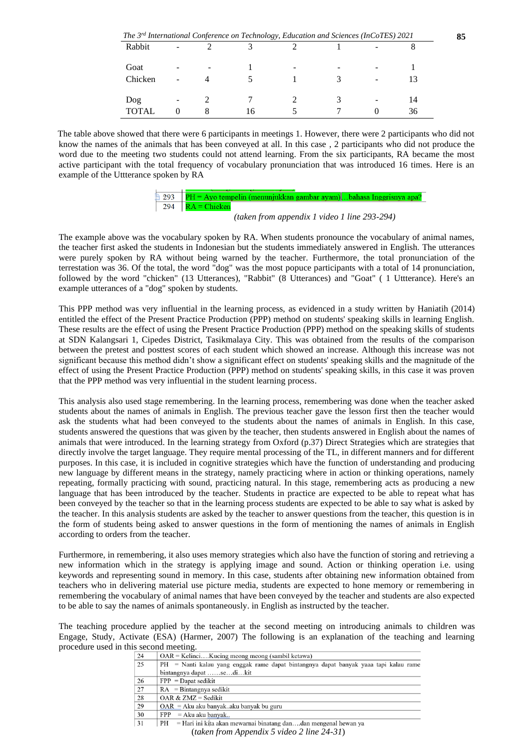| The 3 <sup>rd</sup> International Conference on Technology, Education and Sciences (InCoTES) 2021 |   |   |    |  | 85 |   |    |  |
|---------------------------------------------------------------------------------------------------|---|---|----|--|----|---|----|--|
| Rabbit                                                                                            |   |   |    |  |    |   |    |  |
| Goat                                                                                              |   | - |    |  | -  |   |    |  |
| Chicken                                                                                           | - |   |    |  |    | - |    |  |
| Dog                                                                                               | - |   |    |  |    |   | 14 |  |
| <b>TOTAL</b>                                                                                      |   |   | 16 |  |    |   | 36 |  |

The table above showed that there were 6 participants in meetings 1. However, there were 2 participants who did not know the names of the animals that has been conveyed at all. In this case , 2 participants who did not produce the word due to the meeting two students could not attend learning. From the six participants, RA became the most active participant with the total frequency of vocabulary pronunciation that was introduced 16 times. Here is an example of the Uttterance spoken by RA



*(taken from appendix 1 video 1 line 293-294)*

The example above was the vocabulary spoken by RA. When students pronounce the vocabulary of animal names, the teacher first asked the students in Indonesian but the students immediately answered in English. The utterances were purely spoken by RA without being warned by the teacher. Furthermore, the total pronunciation of the terrestation was 36. Of the total, the word "dog" was the most popuce participants with a total of 14 pronunciation, followed by the word "chicken" (13 Utterances), "Rabbit" (8 Utterances) and "Goat" ( 1 Uttterance). Here's an example utterances of a "dog" spoken by students.

This PPP method was very influential in the learning process, as evidenced in a study written by Haniatih (2014) entitled the effect of the Present Practice Production (PPP) method on students' speaking skills in learning English. These results are the effect of using the Present Practice Production (PPP) method on the speaking skills of students at SDN Kalangsari 1, Cipedes District, Tasikmalaya City. This was obtained from the results of the comparison between the pretest and posttest scores of each student which showed an increase. Although this increase was not significant because this method didn't show a significant effect on students' speaking skills and the magnitude of the effect of using the Present Practice Production (PPP) method on students' speaking skills, in this case it was proven that the PPP method was very influential in the student learning process.

This analysis also used stage remembering. In the learning process, remembering was done when the teacher asked students about the names of animals in English. The previous teacher gave the lesson first then the teacher would ask the students what had been conveyed to the students about the names of animals in English. In this case, students answered the questions that was given by the teacher, then students answered in English about the names of animals that were introduced. In the learning strategy from Oxford (p.37) Direct Strategies which are strategies that directly involve the target language. They require mental processing of the TL, in different manners and for different purposes. In this case, it is included in cognitive strategies which have the function of understanding and producing new language by different means in the strategy, namely practicing where in action or thinking operations, namely repeating, formally practicing with sound, practicing natural. In this stage, remembering acts as producing a new language that has been introduced by the teacher. Students in practice are expected to be able to repeat what has been conveyed by the teacher so that in the learning process students are expected to be able to say what is asked by the teacher. In this analysis students are asked by the teacher to answer questions from the teacher, this question is in the form of students being asked to answer questions in the form of mentioning the names of animals in English according to orders from the teacher.

Furthermore, in remembering, it also uses memory strategies which also have the function of storing and retrieving a new information which in the strategy is applying image and sound. Action or thinking operation i.e. using keywords and representing sound in memory. In this case, students after obtaining new information obtained from teachers who in delivering material use picture media, students are expected to hone memory or remembering in remembering the vocabulary of animal names that have been conveyed by the teacher and students are also expected to be able to say the names of animals spontaneously. in English as instructed by the teacher.

The teaching procedure applied by the teacher at the second meeting on introducing animals to children was Engage, Study, Activate (ESA) (Harmer, 2007) The following is an explanation of the teaching and learning procedure used in this second meeting.

| $OAR = KelineiKucing$ meong meong (sambil ketawa)                                    |  |  |  |  |  |
|--------------------------------------------------------------------------------------|--|--|--|--|--|
| PH = Nanti kalau yang enggak rame dapat bintangnya dapat banyak yaaa tapi kalau rame |  |  |  |  |  |
| bintangnya dapat sedikit                                                             |  |  |  |  |  |
| $FPP =$ Dapat sedikit                                                                |  |  |  |  |  |
| $RA = Bintangnya sedikit$                                                            |  |  |  |  |  |
| OAR & $ZMZ = Sedikit$                                                                |  |  |  |  |  |
| $OAR = Aku$ aku banyakaku banyak bu guru                                             |  |  |  |  |  |
| $FPP = Aku$ aku banyak                                                               |  |  |  |  |  |
| $PH = Hari$ ini kita akan mewarnai binatang dandan mengenal hewan ya                 |  |  |  |  |  |
|                                                                                      |  |  |  |  |  |

(*taken from Appendix 5 video 2 line 24-31*)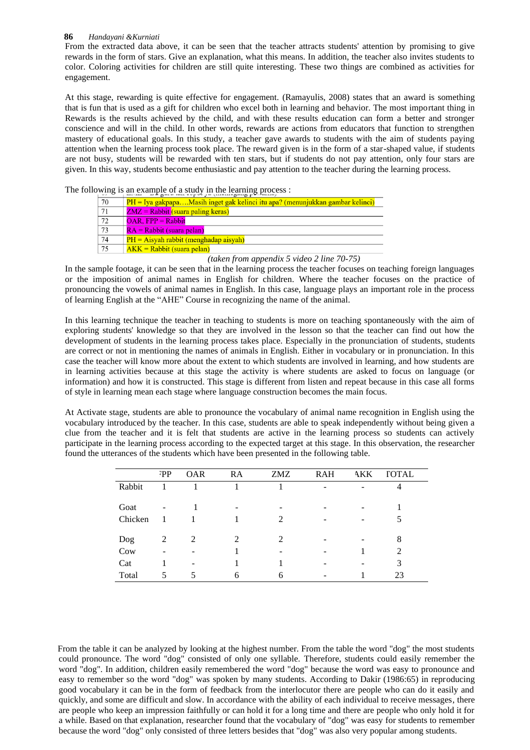#### **86** *Handayani &Kurniati*

From the extracted data above, it can be seen that the teacher attracts students' attention by promising to give rewards in the form of stars. Give an explanation, what this means. In addition, the teacher also invites students to color. Coloring activities for children are still quite interesting. These two things are combined as activities for engagement.

At this stage, rewarding is quite effective for engagement. (Ramayulis, 2008) states that an award is something that is fun that is used as a gift for children who excel both in learning and behavior. The most important thing in Rewards is the results achieved by the child, and with these results education can form a better and stronger conscience and will in the child. In other words, rewards are actions from educators that function to strengthen mastery of educational goals. In this study, a teacher gave awards to students with the aim of students paying attention when the learning process took place. The reward given is in the form of a star-shaped value, if students are not busy, students will be rewarded with ten stars, but if students do not pay attention, only four stars are given. In this way, students become enthusiastic and pay attention to the teacher during the learning process.

The following is an example of a study in the learning process :

| 70              | $PH = Iya gakpapa Masih inget gak kelinci itu apa? (menunjukkan gambar kelinci)$ |
|-----------------|----------------------------------------------------------------------------------|
| 71              | $ZMZ = Rabbit$ (suara paling keras)                                              |
| $\overline{72}$ | $OAR$ , $FPP = Rabbit$                                                           |
| $\overline{73}$ | $RA = Rabbit$ (suara pelan)                                                      |
| 74              | $PH = A$ isyah rabbit (menghadap aisyah)                                         |
| $\overline{75}$ | $AKK = Rabbit$ (suara pelan)                                                     |

*(taken from appendix 5 video 2 line 70-75)*

In the sample footage, it can be seen that in the learning process the teacher focuses on teaching foreign languages or the imposition of animal names in English for children. Where the teacher focuses on the practice of pronouncing the vowels of animal names in English. In this case, language plays an important role in the process of learning English at the "AHE" Course in recognizing the name of the animal.

In this learning technique the teacher in teaching to students is more on teaching spontaneously with the aim of exploring students' knowledge so that they are involved in the lesson so that the teacher can find out how the development of students in the learning process takes place. Especially in the pronunciation of students, students are correct or not in mentioning the names of animals in English. Either in vocabulary or in pronunciation. In this case the teacher will know more about the extent to which students are involved in learning, and how students are in learning activities because at this stage the activity is where students are asked to focus on language (or information) and how it is constructed. This stage is different from listen and repeat because in this case all forms of style in learning mean each stage where language construction becomes the main focus.

At Activate stage, students are able to pronounce the vocabulary of animal name recognition in English using the vocabulary introduced by the teacher. In this case, students are able to speak independently without being given a clue from the teacher and it is felt that students are active in the learning process so students can actively participate in the learning process according to the expected target at this stage. In this observation, the researcher found the utterances of the students which have been presented in the following table.

|         | ₹PP | <b>OAR</b> | RA                          | <b>ZMZ</b>                  | <b>RAH</b> | AKK | <b>TOTAL</b>  |
|---------|-----|------------|-----------------------------|-----------------------------|------------|-----|---------------|
| Rabbit  |     |            |                             |                             | -          |     |               |
| Goat    | ۰   |            |                             |                             |            |     |               |
| Chicken |     |            |                             | $\mathcal{D}_{\mathcal{L}}$ |            | -   |               |
| Dog     | 2   | 2          | $\mathcal{D}_{\mathcal{L}}$ | $\mathcal{D}_{\mathcal{L}}$ |            |     | 8             |
| Cow     |     |            |                             |                             |            |     | $\mathcal{L}$ |
| Cat     |     | ۰          |                             |                             |            |     | 3             |
| Total   | 5   | 5          | 6                           | 6                           |            |     | 23            |

From the table it can be analyzed by looking at the highest number. From the table the word "dog" the most students could pronounce. The word "dog" consisted of only one syllable. Therefore, students could easily remember the word "dog". In addition, children easily remembered the word "dog" because the word was easy to pronounce and easy to remember so the word "dog" was spoken by many students. According to Dakir (1986:65) in reproducing good vocabulary it can be in the form of feedback from the interlocutor there are people who can do it easily and quickly, and some are difficult and slow. In accordance with the ability of each individual to receive messages, there are people who keep an impression faithfully or can hold it for a long time and there are people who only hold it for a while. Based on that explanation, researcher found that the vocabulary of "dog" was easy for students to remember because the word "dog" only consisted of three letters besides that "dog" was also very popular among students.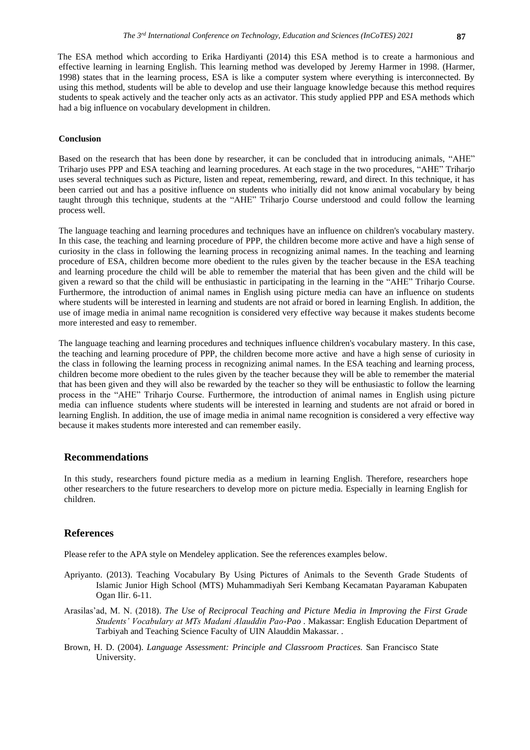The ESA method which according to Erika Hardiyanti (2014) this ESA method is to create a harmonious and effective learning in learning English. This learning method was developed by Jeremy Harmer in 1998. (Harmer, 1998) states that in the learning process, ESA is like a computer system where everything is interconnected. By using this method, students will be able to develop and use their language knowledge because this method requires students to speak actively and the teacher only acts as an activator. This study applied PPP and ESA methods which had a big influence on vocabulary development in children.

#### **Conclusion**

Based on the research that has been done by researcher, it can be concluded that in introducing animals, "AHE" Triharjo uses PPP and ESA teaching and learning procedures. At each stage in the two procedures, "AHE" Triharjo uses several techniques such as Picture, listen and repeat, remembering, reward, and direct. In this technique, it has been carried out and has a positive influence on students who initially did not know animal vocabulary by being taught through this technique, students at the "AHE" Triharjo Course understood and could follow the learning process well.

The language teaching and learning procedures and techniques have an influence on children's vocabulary mastery. In this case, the teaching and learning procedure of PPP, the children become more active and have a high sense of curiosity in the class in following the learning process in recognizing animal names. In the teaching and learning procedure of ESA, children become more obedient to the rules given by the teacher because in the ESA teaching and learning procedure the child will be able to remember the material that has been given and the child will be given a reward so that the child will be enthusiastic in participating in the learning in the "AHE" Triharjo Course. Furthermore, the introduction of animal names in English using picture media can have an influence on students where students will be interested in learning and students are not afraid or bored in learning English. In addition, the use of image media in animal name recognition is considered very effective way because it makes students become more interested and easy to remember.

The language teaching and learning procedures and techniques influence children's vocabulary mastery. In this case, the teaching and learning procedure of PPP, the children become more active and have a high sense of curiosity in the class in following the learning process in recognizing animal names. In the ESA teaching and learning process, children become more obedient to the rules given by the teacher because they will be able to remember the material that has been given and they will also be rewarded by the teacher so they will be enthusiastic to follow the learning process in the "AHE" Triharjo Course. Furthermore, the introduction of animal names in English using picture media can influence students where students will be interested in learning and students are not afraid or bored in learning English. In addition, the use of image media in animal name recognition is considered a very effective way because it makes students more interested and can remember easily.

### **Recommendations**

In this study, researchers found picture media as a medium in learning English. Therefore, researchers hope other researchers to the future researchers to develop more on picture media. Especially in learning English for children.

### **References**

Please refer to the APA style on Mendeley application. See the references examples below.

- Apriyanto. (2013). Teaching Vocabulary By Using Pictures of Animals to the Seventh Grade Students of Islamic Junior High School (MTS) Muhammadiyah Seri Kembang Kecamatan Payaraman Kabupaten Ogan Ilir. 6-11.
- Arasilas'ad, M. N. (2018). *The Use of Reciprocal Teaching and Picture Media in Improving the First Grade Students' Vocabulary at MTs Madani Alauddin Pao-Pao .* Makassar: English Education Department of Tarbiyah and Teaching Science Faculty of UIN Alauddin Makassar. .
- Brown, H. D. (2004). *Language Assessment: Principle and Classroom Practices.* San Francisco State University.